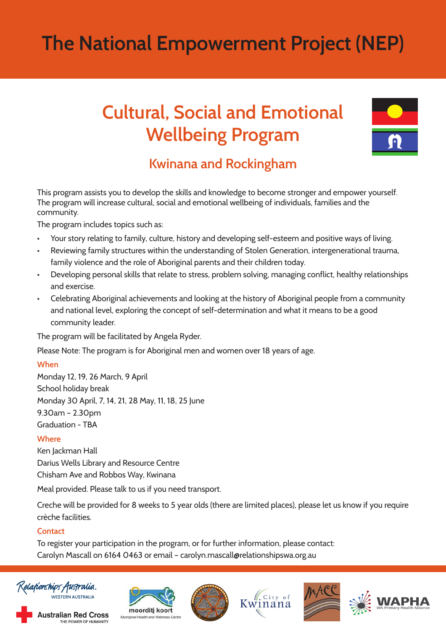# **The National Empowerment Project (NEP)**

## **Cultural, Social and Emotional Wellbeing Program**



### **Kwinana and Rockingham**

This program assists you to develop the skills and knowledge to become stronger and empower yourself. The program will increase cultural, social and emotional wellbeing of individuals, families and the community.

The program includes topics such as:

- Your story relating to family, culture, history and developing self-esteem and positive ways of living.
- Reviewing family structures within the understanding of Stolen Generation, intergenerational trauma, family violence and the role of Aboriginal parents and their children today.
- Developing personal skills that relate to stress, problem solving, managing conflict, healthy relationships and exercise.
- Celebrating Aboriginal achievements and looking at the history of Aboriginal people from a community and national level, exploring the concept of self-determination and what it means to be a good community leader.

The program will be facilitated by Angela Ryder.

Please Note: The program is for Aboriginal men and women over 18 years of age.

#### **When**

Monday 12, 19, 26 March, 9 April School holiday break Monday 30 April, 7, 14, 21, 28 May, 11, 18, 25 June 9.30am – 2.30pm Graduation - TBA

#### **Where**

Ken Jackman Hall Darius Wells Library and Resource Centre Chisham Ave and Robbos Way, Kwinana

Meal provided. Please talk to us if you need transport.

Creche will be provided for 8 weeks to 5 year olds (there are limited places), please let us know if you require crèche facilities.

#### **Contact**

To register your participation in the program, or for further information, please contact: Carolyn Mascall on 6164 0463 or email – carolyn.mascall@relationshipswa.org.au